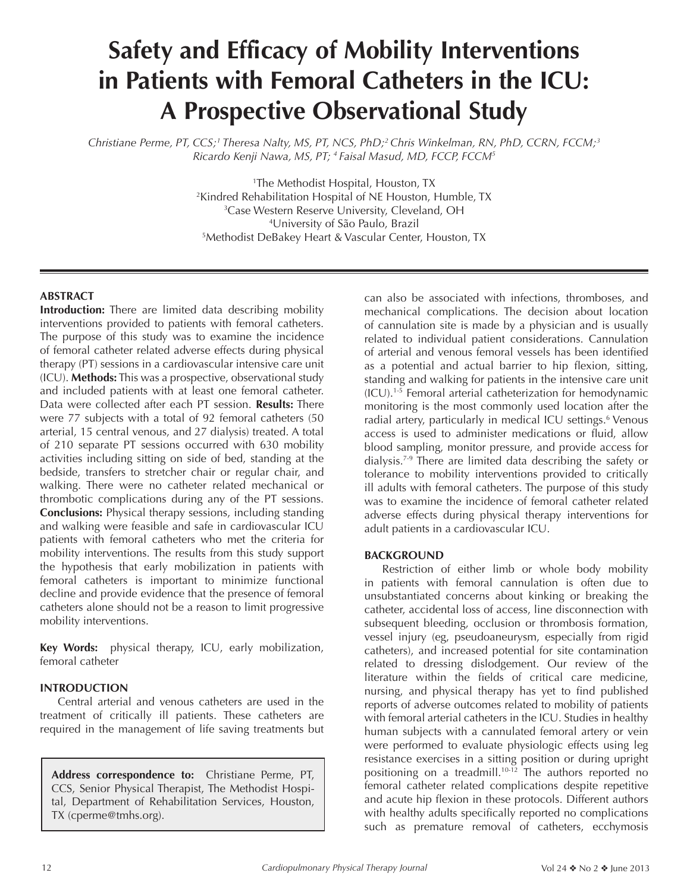## **Safety and Efficacy of Mobility Interventions in Patients with Femoral Catheters in the ICU: A Prospective Observational Study**

*Christiane Perme, PT, CCS;1 Theresa Nalty, MS, PT, NCS, PhD;2 Chris Winkelman, RN, PhD, CCRN, FCCM;3 Ricardo Kenji Nawa, MS, PT; 4 Faisal Masud, MD, FCCP, FCCM5*

> The Methodist Hospital, Houston, TX Kindred Rehabilitation Hospital of NE Houston, Humble, TX Case Western Reserve University, Cleveland, OH University of São Paulo, Brazil Methodist DeBakey Heart & Vascular Center, Houston, TX

#### **ABSTRACT**

**Introduction:** There are limited data describing mobility interventions provided to patients with femoral catheters. The purpose of this study was to examine the incidence of femoral catheter related adverse effects during physical therapy (PT) sessions in a cardiovascular intensive care unit (ICU). **Methods:** This was a prospective, observational study and included patients with at least one femoral catheter. Data were collected after each PT session. **Results:** There were 77 subjects with a total of 92 femoral catheters (50 arterial, 15 central venous, and 27 dialysis) treated. A total of 210 separate PT sessions occurred with 630 mobility activities including sitting on side of bed, standing at the bedside, transfers to stretcher chair or regular chair, and walking. There were no catheter related mechanical or thrombotic complications during any of the PT sessions. **Conclusions:** Physical therapy sessions, including standing and walking were feasible and safe in cardiovascular ICU patients with femoral catheters who met the criteria for mobility interventions. The results from this study support the hypothesis that early mobilization in patients with femoral catheters is important to minimize functional decline and provide evidence that the presence of femoral catheters alone should not be a reason to limit progressive mobility interventions.

**Key Words:** physical therapy, ICU, early mobilization, femoral catheter

#### **INTRODUCTION**

Central arterial and venous catheters are used in the treatment of critically ill patients. These catheters are required in the management of life saving treatments but

**Address correspondence to:** Christiane Perme, PT, CCS, Senior Physical Therapist, The Methodist Hospital, Department of Rehabilitation Services, Houston, TX (cperme@tmhs.org).

can also be associated with infections, thromboses, and mechanical complications. The decision about location of cannulation site is made by a physician and is usually related to individual patient considerations. Cannulation of arterial and venous femoral vessels has been identified as a potential and actual barrier to hip flexion, sitting, standing and walking for patients in the intensive care unit (ICU).1-5 Femoral arterial catheterization for hemodynamic monitoring is the most commonly used location after the radial artery, particularly in medical ICU settings.<sup>6</sup> Venous access is used to administer medications or fluid, allow blood sampling, monitor pressure, and provide access for dialysis.7-9 There are limited data describing the safety or tolerance to mobility interventions provided to critically ill adults with femoral catheters. The purpose of this study was to examine the incidence of femoral catheter related adverse effects during physical therapy interventions for adult patients in a cardiovascular ICU.

#### **BACKGROUND**

Restriction of either limb or whole body mobility in patients with femoral cannulation is often due to unsubstantiated concerns about kinking or breaking the catheter, accidental loss of access, line disconnection with subsequent bleeding, occlusion or thrombosis formation, vessel injury (eg, pseudoaneurysm, especially from rigid catheters), and increased potential for site contamination related to dressing dislodgement. Our review of the literature within the fields of critical care medicine, nursing, and physical therapy has yet to find published reports of adverse outcomes related to mobility of patients with femoral arterial catheters in the ICU. Studies in healthy human subjects with a cannulated femoral artery or vein were performed to evaluate physiologic effects using leg resistance exercises in a sitting position or during upright positioning on a treadmill.10-12 The authors reported no femoral catheter related complications despite repetitive and acute hip flexion in these protocols. Different authors with healthy adults specifically reported no complications such as premature removal of catheters, ecchymosis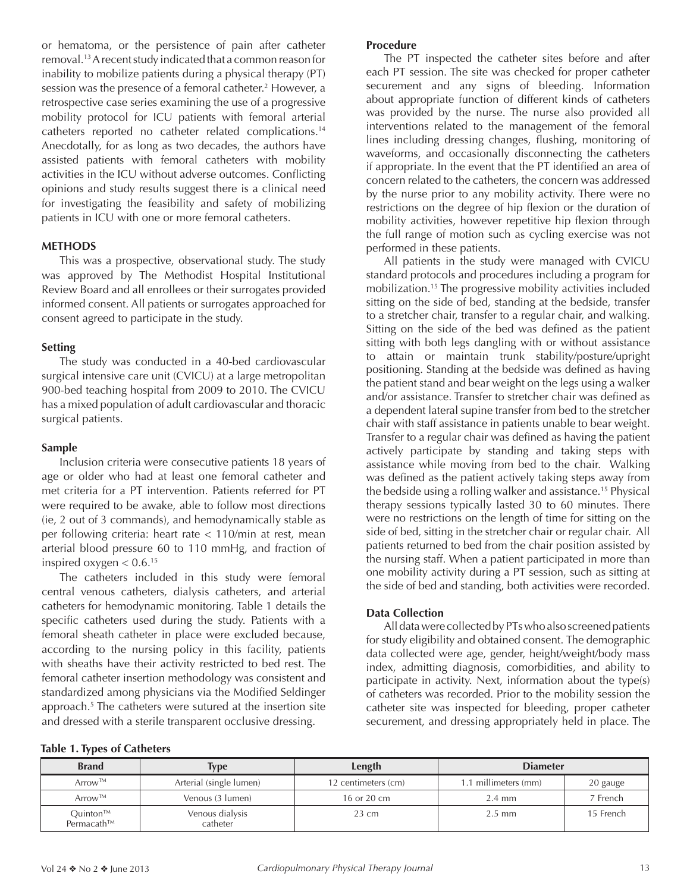or hematoma, or the persistence of pain after catheter removal.13 A recent study indicated that a common reason for inability to mobilize patients during a physical therapy (PT) session was the presence of a femoral catheter.<sup>2</sup> However, a retrospective case series examining the use of a progressive mobility protocol for ICU patients with femoral arterial catheters reported no catheter related complications.14 Anecdotally, for as long as two decades, the authors have assisted patients with femoral catheters with mobility activities in the ICU without adverse outcomes. Conflicting opinions and study results suggest there is a clinical need for investigating the feasibility and safety of mobilizing patients in ICU with one or more femoral catheters.

#### **METHODS**

This was a prospective, observational study. The study was approved by The Methodist Hospital Institutional Review Board and all enrollees or their surrogates provided informed consent. All patients or surrogates approached for consent agreed to participate in the study.

#### **Setting**

The study was conducted in a 40-bed cardiovascular surgical intensive care unit (CVICU) at a large metropolitan 900-bed teaching hospital from 2009 to 2010. The CVICU has a mixed population of adult cardiovascular and thoracic surgical patients.

#### **Sample**

Inclusion criteria were consecutive patients 18 years of age or older who had at least one femoral catheter and met criteria for a PT intervention. Patients referred for PT were required to be awake, able to follow most directions (ie, 2 out of 3 commands), and hemodynamically stable as per following criteria: heart rate < 110/min at rest, mean arterial blood pressure 60 to 110 mmHg, and fraction of inspired oxygen  $< 0.6$ .<sup>15</sup>

The catheters included in this study were femoral central venous catheters, dialysis catheters, and arterial catheters for hemodynamic monitoring. Table 1 details the specific catheters used during the study. Patients with a femoral sheath catheter in place were excluded because, according to the nursing policy in this facility, patients with sheaths have their activity restricted to bed rest. The femoral catheter insertion methodology was consistent and standardized among physicians via the Modified Seldinger approach.<sup>5</sup> The catheters were sutured at the insertion site and dressed with a sterile transparent occlusive dressing.

#### **Procedure**

The PT inspected the catheter sites before and after each PT session. The site was checked for proper catheter securement and any signs of bleeding. Information about appropriate function of different kinds of catheters was provided by the nurse. The nurse also provided all interventions related to the management of the femoral lines including dressing changes, flushing, monitoring of waveforms, and occasionally disconnecting the catheters if appropriate. In the event that the PT identified an area of concern related to the catheters, the concern was addressed by the nurse prior to any mobility activity. There were no restrictions on the degree of hip flexion or the duration of mobility activities, however repetitive hip flexion through the full range of motion such as cycling exercise was not performed in these patients.

All patients in the study were managed with CVICU standard protocols and procedures including a program for mobilization.15 The progressive mobility activities included sitting on the side of bed, standing at the bedside, transfer to a stretcher chair, transfer to a regular chair, and walking. Sitting on the side of the bed was defined as the patient sitting with both legs dangling with or without assistance to attain or maintain trunk stability/posture/upright positioning. Standing at the bedside was defined as having the patient stand and bear weight on the legs using a walker and/or assistance. Transfer to stretcher chair was defined as a dependent lateral supine transfer from bed to the stretcher chair with staff assistance in patients unable to bear weight. Transfer to a regular chair was defined as having the patient actively participate by standing and taking steps with assistance while moving from bed to the chair. Walking was defined as the patient actively taking steps away from the bedside using a rolling walker and assistance.15 Physical therapy sessions typically lasted 30 to 60 minutes. There were no restrictions on the length of time for sitting on the side of bed, sitting in the stretcher chair or regular chair. All patients returned to bed from the chair position assisted by the nursing staff. When a patient participated in more than one mobility activity during a PT session, such as sitting at the side of bed and standing, both activities were recorded.

#### **Data Collection**

All data were collected by PTs who also screened patients for study eligibility and obtained consent. The demographic data collected were age, gender, height/weight/body mass index, admitting diagnosis, comorbidities, and ability to participate in activity. Next, information about the type(s) of catheters was recorded. Prior to the mobility session the catheter site was inspected for bleeding, proper catheter securement, and dressing appropriately held in place. The

|  |  |  |  |  | <b>Table 1. Types of Catheters</b> |
|--|--|--|--|--|------------------------------------|
|--|--|--|--|--|------------------------------------|

| <b>Brand</b>                        | Type                        | Length              | <b>Diameter</b>      |           |  |
|-------------------------------------|-----------------------------|---------------------|----------------------|-----------|--|
| Arrow™                              | Arterial (single lumen)     | 12 centimeters (cm) | 1.1 millimeters (mm) | 20 gauge  |  |
| Arrow™                              | Venous (3 lumen)            | 16 or 20 cm         | $2.4 \text{ mm}$     | 7 French  |  |
| Quinton <sup>TM</sup><br>Permacath™ | Venous dialysis<br>catheter | $23 \text{ cm}$     | $2.5$ mm             | 15 French |  |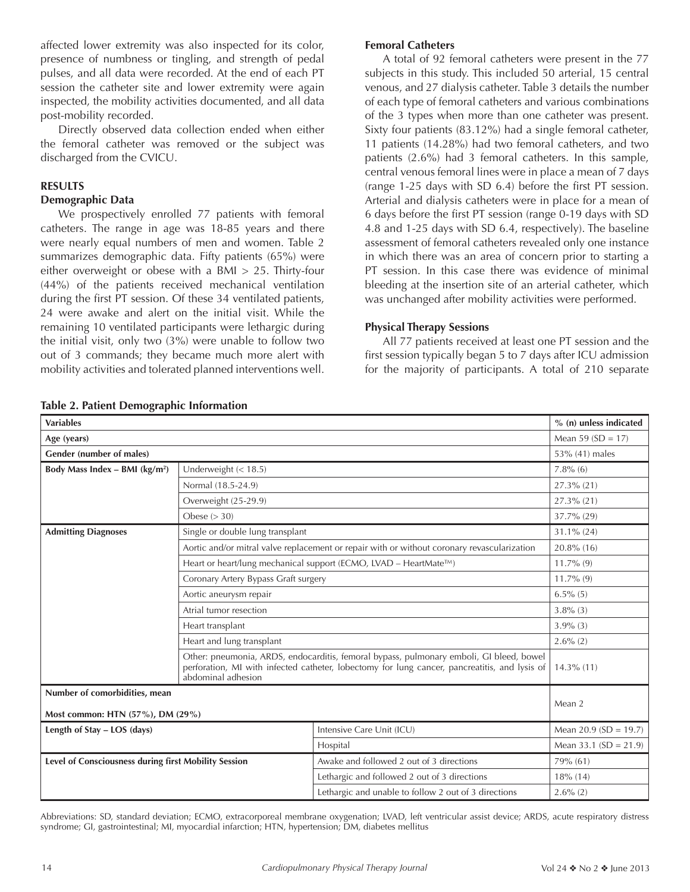affected lower extremity was also inspected for its color, presence of numbness or tingling, and strength of pedal pulses, and all data were recorded. At the end of each PT session the catheter site and lower extremity were again inspected, the mobility activities documented, and all data post-mobility recorded.

Directly observed data collection ended when either the femoral catheter was removed or the subject was discharged from the CVICU.

#### **RESULTS**

#### **Demographic Data**

We prospectively enrolled 77 patients with femoral catheters. The range in age was 18-85 years and there were nearly equal numbers of men and women. Table 2 summarizes demographic data. Fifty patients (65%) were either overweight or obese with a BMI > 25. Thirty-four (44%) of the patients received mechanical ventilation during the first PT session. Of these 34 ventilated patients, 24 were awake and alert on the initial visit. While the remaining 10 ventilated participants were lethargic during the initial visit, only two (3%) were unable to follow two out of 3 commands; they became much more alert with mobility activities and tolerated planned interventions well.

#### **Femoral Catheters**

A total of 92 femoral catheters were present in the 77 subjects in this study. This included 50 arterial, 15 central venous, and 27 dialysis catheter. Table 3 details the number of each type of femoral catheters and various combinations of the 3 types when more than one catheter was present. Sixty four patients (83.12%) had a single femoral catheter, 11 patients (14.28%) had two femoral catheters, and two patients (2.6%) had 3 femoral catheters. In this sample, central venous femoral lines were in place a mean of 7 days (range 1-25 days with SD 6.4) before the first PT session. Arterial and dialysis catheters were in place for a mean of 6 days before the first PT session (range 0-19 days with SD 4.8 and 1-25 days with SD 6.4, respectively). The baseline assessment of femoral catheters revealed only one instance in which there was an area of concern prior to starting a PT session. In this case there was evidence of minimal bleeding at the insertion site of an arterial catheter, which was unchanged after mobility activities were performed.

#### **Physical Therapy Sessions**

All 77 patients received at least one PT session and the first session typically began 5 to 7 days after ICU admission for the majority of participants. A total of 210 separate

| <b>Variables</b>                                     |                                                                                                                                                                                                                |                                                                                             | % (n) unless indicated |  |  |
|------------------------------------------------------|----------------------------------------------------------------------------------------------------------------------------------------------------------------------------------------------------------------|---------------------------------------------------------------------------------------------|------------------------|--|--|
| Age (years)                                          | Mean 59 $(SD = 17)$                                                                                                                                                                                            |                                                                                             |                        |  |  |
| Gender (number of males)                             |                                                                                                                                                                                                                | 53% (41) males                                                                              |                        |  |  |
| Body Mass Index - BMI ( $kg/m2$ )                    | Underweight $(< 18.5)$                                                                                                                                                                                         |                                                                                             | $7.8\%$ (6)            |  |  |
|                                                      | Normal (18.5-24.9)                                                                                                                                                                                             | $27.3\%$ (21)                                                                               |                        |  |  |
|                                                      | Overweight (25-29.9)                                                                                                                                                                                           | 27.3% (21)                                                                                  |                        |  |  |
|                                                      | Obese $(>30)$                                                                                                                                                                                                  | 37.7% (29)                                                                                  |                        |  |  |
| <b>Admitting Diagnoses</b>                           | Single or double lung transplant                                                                                                                                                                               |                                                                                             | $31.1\% (24)$          |  |  |
|                                                      |                                                                                                                                                                                                                | Aortic and/or mitral valve replacement or repair with or without coronary revascularization | 20.8% (16)             |  |  |
|                                                      |                                                                                                                                                                                                                | Heart or heart/lung mechanical support (ECMO, LVAD – HeartMate™)                            | $11.7\%$ (9)           |  |  |
|                                                      | Coronary Artery Bypass Graft surgery                                                                                                                                                                           | $11.7\%$ (9)                                                                                |                        |  |  |
|                                                      | Aortic aneurysm repair                                                                                                                                                                                         | $6.5\%$ (5)                                                                                 |                        |  |  |
|                                                      | Atrial tumor resection                                                                                                                                                                                         | $3.8\%$ (3)                                                                                 |                        |  |  |
|                                                      | Heart transplant                                                                                                                                                                                               | $3.9\%$ (3)                                                                                 |                        |  |  |
|                                                      | Heart and lung transplant                                                                                                                                                                                      | $2.6\%$ (2)                                                                                 |                        |  |  |
|                                                      | Other: pneumonia, ARDS, endocarditis, femoral bypass, pulmonary emboli, GI bleed, bowel<br>perforation, MI with infected catheter, lobectomy for lung cancer, pancreatitis, and lysis of<br>abdominal adhesion |                                                                                             |                        |  |  |
| Number of comorbidities, mean                        |                                                                                                                                                                                                                |                                                                                             |                        |  |  |
| Most common: HTN (57%), DM (29%)                     |                                                                                                                                                                                                                |                                                                                             | Mean 2                 |  |  |
| Length of Stay - LOS (days)                          |                                                                                                                                                                                                                | Intensive Care Unit (ICU)                                                                   | Mean 20.9 (SD = 19.7)  |  |  |
|                                                      | Hospital                                                                                                                                                                                                       | Mean 33.1 ( $SD = 21.9$ )                                                                   |                        |  |  |
| Level of Consciousness during first Mobility Session |                                                                                                                                                                                                                | Awake and followed 2 out of 3 directions                                                    | 79% (61)               |  |  |
|                                                      |                                                                                                                                                                                                                | Lethargic and followed 2 out of 3 directions                                                | $18\%$ (14)            |  |  |
|                                                      |                                                                                                                                                                                                                | Lethargic and unable to follow 2 out of 3 directions                                        | $2.6\%$ (2)            |  |  |

Abbreviations: SD, standard deviation; ECMO, extracorporeal membrane oxygenation; LVAD, left ventricular assist device; ARDS, acute respiratory distress syndrome; GI, gastrointestinal; MI, myocardial infarction; HTN, hypertension; DM, diabetes mellitus

|  |  | Table 2. Patient Demographic Information |  |
|--|--|------------------------------------------|--|
|--|--|------------------------------------------|--|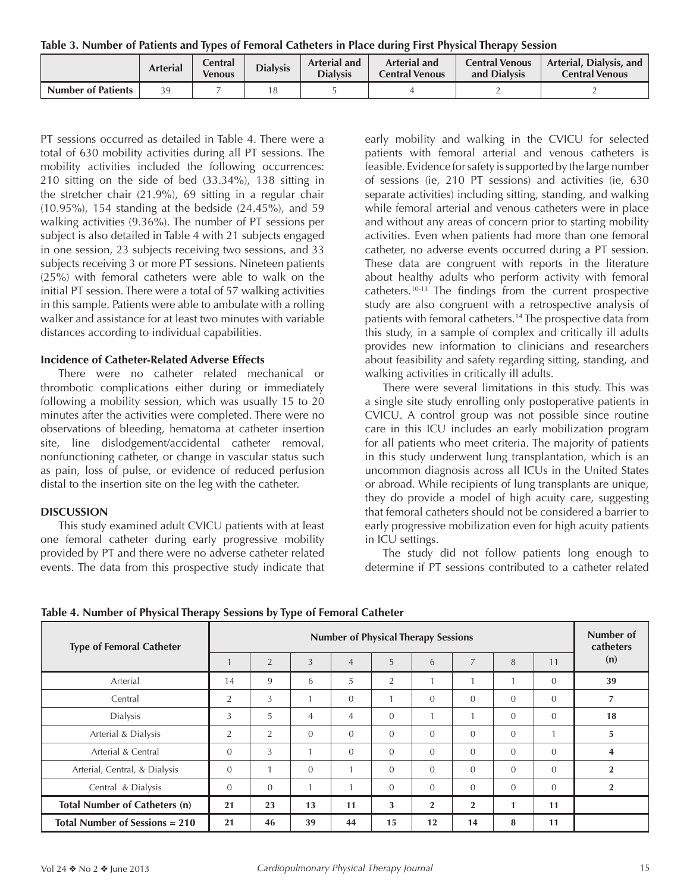**Table 3. Number of Patients and Types of Femoral Catheters in Place during First Physical Therapy Session**

|                           | <b>Arterial</b> | <b>Central</b><br><b>Venous</b> | <b>Dialysis</b> | <b>Arterial and</b><br><b>Dialysis</b> | <b>Arterial and</b><br><b>Central Venous</b> | <b>Central Venous</b><br>and Dialysis | Arterial, Dialysis, and<br><b>Central Venous</b> |  |
|---------------------------|-----------------|---------------------------------|-----------------|----------------------------------------|----------------------------------------------|---------------------------------------|--------------------------------------------------|--|
| <b>Number of Patients</b> | 39              |                                 | 8               |                                        |                                              |                                       |                                                  |  |

PT sessions occurred as detailed in Table 4. There were a total of 630 mobility activities during all PT sessions. The mobility activities included the following occurrences: 210 sitting on the side of bed (33.34%), 138 sitting in the stretcher chair (21.9%), 69 sitting in a regular chair (10.95%), 154 standing at the bedside (24.45%), and 59 walking activities (9.36%). The number of PT sessions per subject is also detailed in Table 4 with 21 subjects engaged in one session, 23 subjects receiving two sessions, and 33 subjects receiving 3 or more PT sessions. Nineteen patients (25%) with femoral catheters were able to walk on the initial PT session. There were a total of 57 walking activities in this sample. Patients were able to ambulate with a rolling walker and assistance for at least two minutes with variable distances according to individual capabilities.

#### **Incidence of Catheter-Related Adverse Effects**

There were no catheter related mechanical or thrombotic complications either during or immediately following a mobility session, which was usually 15 to 20 minutes after the activities were completed. There were no observations of bleeding, hematoma at catheter insertion site, line dislodgement/accidental catheter removal, nonfunctioning catheter, or change in vascular status such as pain, loss of pulse, or evidence of reduced perfusion distal to the insertion site on the leg with the catheter.

#### **DISCUSSION**

This study examined adult CVICU patients with at least one femoral catheter during early progressive mobility provided by PT and there were no adverse catheter related events. The data from this prospective study indicate that early mobility and walking in the CVICU for selected patients with femoral arterial and venous catheters is feasible. Evidence for safety is supported by the large number of sessions (ie, 210 PT sessions) and activities (ie, 630 separate activities) including sitting, standing, and walking while femoral arterial and venous catheters were in place and without any areas of concern prior to starting mobility activities. Even when patients had more than one femoral catheter, no adverse events occurred during a PT session. These data are congruent with reports in the literature about healthy adults who perform activity with femoral catheters.10-13 The findings from the current prospective study are also congruent with a retrospective analysis of patients with femoral catheters.<sup>14</sup> The prospective data from this study, in a sample of complex and critically ill adults provides new information to clinicians and researchers about feasibility and safety regarding sitting, standing, and walking activities in critically ill adults.

There were several limitations in this study. This was a single site study enrolling only postoperative patients in CVICU. A control group was not possible since routine care in this ICU includes an early mobilization program for all patients who meet criteria. The majority of patients in this study underwent lung transplantation, which is an uncommon diagnosis across all ICUs in the United States or abroad. While recipients of lung transplants are unique, they do provide a model of high acuity care, suggesting that femoral catheters should not be considered a barrier to early progressive mobilization even for high acuity patients in ICU settings.

The study did not follow patients long enough to determine if PT sessions contributed to a catheter related

**Table 4. Number of Physical Therapy Sessions by Type of Femoral Catheter**

| <b>Type of Femoral Catheter</b>      | . .<br>.<br><b>Number of Physical Therapy Sessions</b> |                |                |                |                |                |                |                | Number of<br>catheters |                |
|--------------------------------------|--------------------------------------------------------|----------------|----------------|----------------|----------------|----------------|----------------|----------------|------------------------|----------------|
|                                      |                                                        | $\overline{2}$ | 3              | $\overline{4}$ | 5              | 6              | 7              | 8              | 11                     | (n)            |
| Arterial                             | 14                                                     | 9              | 6              | 5              | $\overline{2}$ |                |                |                | $\theta$               | 39             |
| Central                              | 2                                                      | 3              |                | $\mathbf{0}$   |                | $\Omega$       | $\Omega$       | $\mathbf{0}$   | $\mathbf{0}$           | 7              |
| Dialysis                             | 3                                                      | 5              | $\overline{4}$ | $\overline{4}$ | $\Omega$       | $\mathbf{1}$   |                | $\Omega$       | $\Omega$               | 18             |
| Arterial & Dialysis                  | 2                                                      | 2              | $\Omega$       | $\mathbf{0}$   | $\Omega$       | $\Omega$       | $\Omega$       | $\overline{0}$ |                        | 5              |
| Arterial & Central                   | $\Omega$                                               | 3              |                | $\Omega$       | $\Omega$       | $\Omega$       | $\Omega$       | $\Omega$       | $\Omega$               | $\overline{4}$ |
| Arterial, Central, & Dialysis        | $\mathbf{0}$                                           |                | $\Omega$       |                | $\Omega$       | $\Omega$       | $\Omega$       | $\mathbf{0}$   | $\mathbf{0}$           | $\overline{2}$ |
| Central & Dialysis                   | $\mathbf{0}$                                           | $\mathbf{0}$   |                |                | $\overline{0}$ | $\Omega$       | $\overline{0}$ | $\mathbf{0}$   | $\mathbf{0}$           | $\overline{2}$ |
| <b>Total Number of Catheters (n)</b> | 21                                                     | 23             | 13             | 11             | 3              | $\overline{2}$ | $\overline{2}$ | 1              | 11                     |                |
| Total Number of Sessions $= 210$     | 21                                                     | 46             | 39             | 44             | 15             | 12             | 14             | 8              | 11                     |                |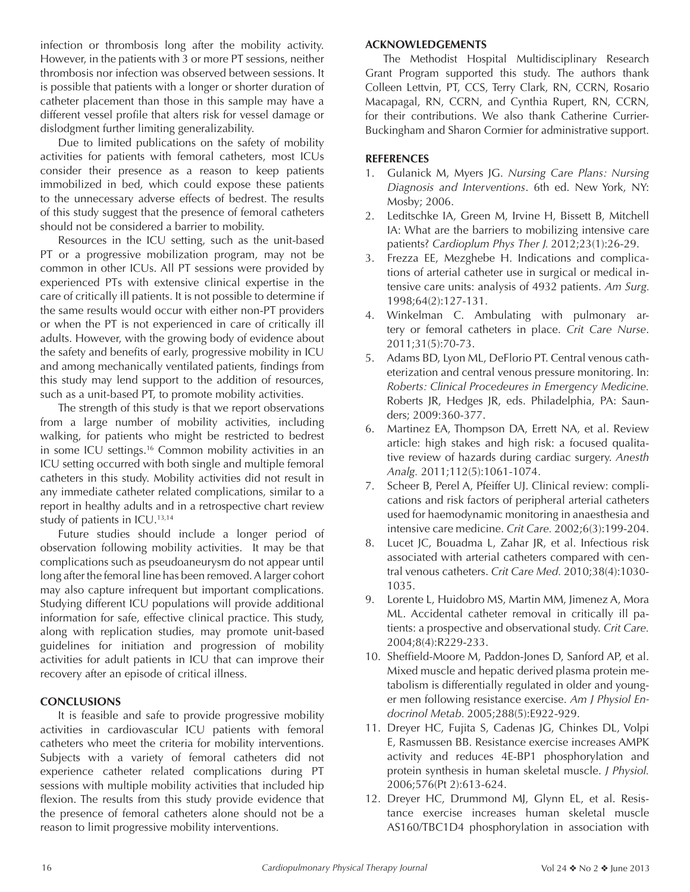infection or thrombosis long after the mobility activity. However, in the patients with 3 or more PT sessions, neither thrombosis nor infection was observed between sessions. It is possible that patients with a longer or shorter duration of catheter placement than those in this sample may have a different vessel profile that alters risk for vessel damage or dislodgment further limiting generalizability.

Due to limited publications on the safety of mobility activities for patients with femoral catheters, most ICUs consider their presence as a reason to keep patients immobilized in bed, which could expose these patients to the unnecessary adverse effects of bedrest. The results of this study suggest that the presence of femoral catheters should not be considered a barrier to mobility.

Resources in the ICU setting, such as the unit-based PT or a progressive mobilization program, may not be common in other ICUs. All PT sessions were provided by experienced PTs with extensive clinical expertise in the care of critically ill patients. It is not possible to determine if the same results would occur with either non-PT providers or when the PT is not experienced in care of critically ill adults. However, with the growing body of evidence about the safety and benefits of early, progressive mobility in ICU and among mechanically ventilated patients, findings from this study may lend support to the addition of resources, such as a unit-based PT, to promote mobility activities.

The strength of this study is that we report observations from a large number of mobility activities, including walking, for patients who might be restricted to bedrest in some ICU settings.16 Common mobility activities in an ICU setting occurred with both single and multiple femoral catheters in this study. Mobility activities did not result in any immediate catheter related complications, similar to a report in healthy adults and in a retrospective chart review study of patients in ICU.13,14

Future studies should include a longer period of observation following mobility activities. It may be that complications such as pseudoaneurysm do not appear until long after the femoral line has been removed. A larger cohort may also capture infrequent but important complications. Studying different ICU populations will provide additional information for safe, effective clinical practice. This study, along with replication studies, may promote unit-based guidelines for initiation and progression of mobility activities for adult patients in ICU that can improve their recovery after an episode of critical illness.

#### **CONCLUSIONS**

It is feasible and safe to provide progressive mobility activities in cardiovascular ICU patients with femoral catheters who meet the criteria for mobility interventions. Subjects with a variety of femoral catheters did not experience catheter related complications during PT sessions with multiple mobility activities that included hip flexion. The results from this study provide evidence that the presence of femoral catheters alone should not be a reason to limit progressive mobility interventions.

#### **ACKNOWLEDGEMENTS**

The Methodist Hospital Multidisciplinary Research Grant Program supported this study. The authors thank Colleen Lettvin, PT, CCS, Terry Clark, RN, CCRN, Rosario Macapagal, RN, CCRN, and Cynthia Rupert, RN, CCRN, for their contributions. We also thank Catherine Currier-Buckingham and Sharon Cormier for administrative support.

#### **REFERENCES**

- 1. Gulanick M, Myers JG. *Nursing Care Plans: Nursing Diagnosis and Interventions*. 6th ed. New York, NY: Mosby; 2006.
- 2. Leditschke IA, Green M, Irvine H, Bissett B, Mitchell IA: What are the barriers to mobilizing intensive care patients? *Cardioplum Phys Ther J.* 2012;23(1):26-29.
- 3. Frezza EE, Mezghebe H. Indications and complications of arterial catheter use in surgical or medical intensive care units: analysis of 4932 patients. *Am Surg.*  1998;64(2):127-131.
- 4. Winkelman C. Ambulating with pulmonary artery or femoral catheters in place. *Crit Care Nurse*. 2011;31(5):70-73.
- 5. Adams BD, Lyon ML, DeFlorio PT. Central venous catheterization and central venous pressure monitoring. In: *Roberts: Clinical Procedeures in Emergency Medicine.* Roberts JR, Hedges JR, eds. Philadelphia, PA: Saunders; 2009:360-377.
- 6. Martinez EA, Thompson DA, Errett NA, et al. Review article: high stakes and high risk: a focused qualitative review of hazards during cardiac surgery. *Anesth Analg.* 2011;112(5):1061-1074.
- 7. Scheer B, Perel A, Pfeiffer UJ. Clinical review: complications and risk factors of peripheral arterial catheters used for haemodynamic monitoring in anaesthesia and intensive care medicine. *Crit Care.* 2002;6(3):199-204.
- 8. Lucet JC, Bouadma L, Zahar JR, et al. Infectious risk associated with arterial catheters compared with central venous catheters. *Crit Care Med.* 2010;38(4):1030- 1035.
- 9. Lorente L, Huidobro MS, Martin MM, Jimenez A, Mora ML. Accidental catheter removal in critically ill patients: a prospective and observational study. *Crit Care.* 2004;8(4):R229-233.
- 10. Sheffield-Moore M, Paddon-Jones D, Sanford AP, et al. Mixed muscle and hepatic derived plasma protein metabolism is differentially regulated in older and younger men following resistance exercise. *Am J Physiol Endocrinol Metab.* 2005;288(5):E922-929.
- 11. Dreyer HC, Fujita S, Cadenas JG, Chinkes DL, Volpi E, Rasmussen BB. Resistance exercise increases AMPK activity and reduces 4E-BP1 phosphorylation and protein synthesis in human skeletal muscle. *J Physiol.* 2006;576(Pt 2):613-624.
- 12. Dreyer HC, Drummond MJ, Glynn EL, et al. Resistance exercise increases human skeletal muscle AS160/TBC1D4 phosphorylation in association with